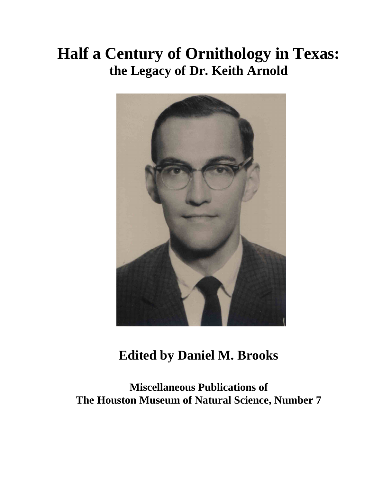# **Half a Century of Ornithology in Texas: the Legacy of Dr. Keith Arnold**



## **Edited by Daniel M. Brooks**

**Miscellaneous Publications of The Houston Museum of Natural Science, Number 7**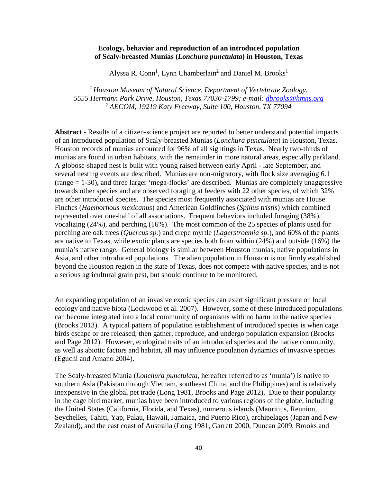#### **Ecology, behavior and reproduction of an introduced population of Scaly-breasted Munias (***Lonchura punctulata***) in Houston, Texas**

Alyssa R. Conn<sup>1</sup>, Lynn Chamberlain<sup>2</sup> and Daniel M. Brooks<sup>1</sup>

*<sup>1</sup>Houston Museum of Natural Science, Department of Vertebrate Zoology, 5555 Hermann Park Drive, Houston, Texas 77030-1799; e-mail: dbrooks@hmns.org <sup>2</sup>AECOM, 19219 Katy Freeway, Suite 100, Houston, TX 77094* 

**Abstract -** Results of a citizen-science project are reported to better understand potential impacts of an introduced population of Scaly-breasted Munias (*Lonchura punctulata*) in Houston, Texas. Houston records of munias accounted for 96% of all sightings in Texas. Nearly two-thirds of munias are found in urban habitats, with the remainder in more natural areas, especially parkland. A globose-shaped nest is built with young raised between early April - late September, and several nesting events are described. Munias are non-migratory, with flock size averaging 6.1 (range = 1-30), and three larger 'mega-flocks' are described. Munias are completely unaggressive towards other species and are observed foraging at feeders with 22 other species, of which 32% are other introduced species. The species most frequently associated with munias are House Finches (*Haemorhous mexicanus*) and American Goldfinches (*Spinus tristis*) which combined represented over one-half of all associations. Frequent behaviors included foraging (38%), vocalizing (24%), and perching (16%). The most common of the 25 species of plants used for perching are oak trees (*Quercus sp.*) and crepe myrtle (*Lagerstroemia sp.*), and 60% of the plants are native to Texas, while exotic plants are species both from within (24%) and outside (16%) the munia's native range. General biology is similar between Houston munias, native populations in Asia, and other introduced populations. The alien population in Houston is not firmly established beyond the Houston region in the state of Texas, does not compete with native species, and is not a serious agricultural grain pest, but should continue to be monitored.

An expanding population of an invasive exotic species can exert significant pressure on local ecology and native biota (Lockwood et al. 2007). However, some of these introduced populations can become integrated into a local community of organisms with no harm to the native species (Brooks 2013). A typical pattern of population establishment of introduced species is when cage birds escape or are released, then gather, reproduce, and undergo population expansion (Brooks and Page 2012). However, ecological traits of an introduced species and the native community, as well as abiotic factors and habitat, all may influence population dynamics of invasive species (Eguchi and Amano 2004).

The Scaly-breasted Munia (*Lonchura punctulata,* hereafter referred to as 'munia') is native to southern Asia (Pakistan through Vietnam, southeast China, and the Philippines) and is relatively inexpensive in the global pet trade (Long 1981, Brooks and Page 2012). Due to their popularity in the cage bird market, munias have been introduced to various regions of the globe, including the United States (California, Florida, and Texas), numerous islands (Mauritius, Reunion, Seychelles, Tahiti, Yap, Palau, Hawaii, Jamaica, and Puerto Rico), archipelagos (Japan and New Zealand), and the east coast of Australia (Long 1981, Garrett 2000, Duncan 2009, Brooks and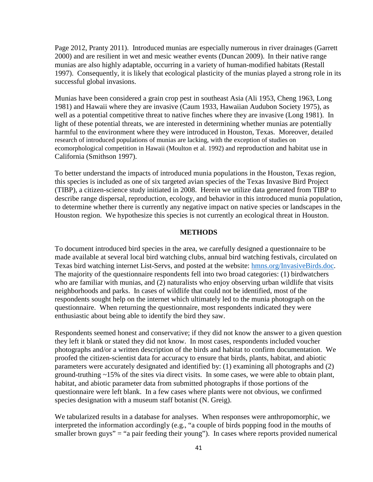Page 2012, Pranty 2011). Introduced munias are especially numerous in river drainages (Garrett 2000) and are resilient in wet and mesic weather events (Duncan 2009). In their native range munias are also highly adaptable, occurring in a variety of human-modified habitats (Restall 1997). Consequently, it is likely that ecological plasticity of the munias played a strong role in its successful global invasions.

Munias have been considered a grain crop pest in southeast Asia (Ali 1953, Cheng 1963, Long 1981) and Hawaii where they are invasive (Caum 1933, Hawaiian Audubon Society 1975), as well as a potential competitive threat to native finches where they are invasive (Long 1981). In light of these potential threats, we are interested in determining whether munias are potentially harmful to the environment where they were introduced in Houston, Texas. Moreover, detailed research of introduced populations of munias are lacking, with the exception of studies on ecomorphological competition in Hawaii (Moulton et al. 1992) and reproduction and habitat use in California (Smithson 1997).

To better understand the impacts of introduced munia populations in the Houston, Texas region, this species is included as one of six targeted avian species of the Texas Invasive Bird Project (TIBP), a citizen-science study initiated in 2008. Herein we utilize data generated from TIBP to describe range dispersal, reproduction, ecology, and behavior in this introduced munia population, to determine whether there is currently any negative impact on native species or landscapes in the Houston region. We hypothesize this species is not currently an ecological threat in Houston.

#### **METHODS**

To document introduced bird species in the area, we carefully designed a questionnaire to be made available at several local bird watching clubs, annual bird watching festivals, circulated on Texas bird watching internet List-Servs, and posted at the website: hmns.org/InvasiveBirds.doc. The majority of the questionnaire respondents fell into two broad categories: (1) birdwatchers who are familiar with munias, and (2) naturalists who enjoy observing urban wildlife that visits neighborhoods and parks. In cases of wildlife that could not be identified, most of the respondents sought help on the internet which ultimately led to the munia photograph on the questionnaire. When returning the questionnaire, most respondents indicated they were enthusiastic about being able to identify the bird they saw.

Respondents seemed honest and conservative; if they did not know the answer to a given question they left it blank or stated they did not know. In most cases, respondents included voucher photographs and/or a written description of the birds and habitat to confirm documentation. We proofed the citizen-scientist data for accuracy to ensure that birds, plants, habitat, and abiotic parameters were accurately designated and identified by: (1) examining all photographs and (2) ground-truthing ~15% of the sites via direct visits. In some cases, we were able to obtain plant, habitat, and abiotic parameter data from submitted photographs if those portions of the questionnaire were left blank. In a few cases where plants were not obvious, we confirmed species designation with a museum staff botanist (N. Greig).

We tabularized results in a database for analyses. When responses were anthropomorphic, we interpreted the information accordingly (e.g., "a couple of birds popping food in the mouths of smaller brown guys" = "a pair feeding their young"). In cases where reports provided numerical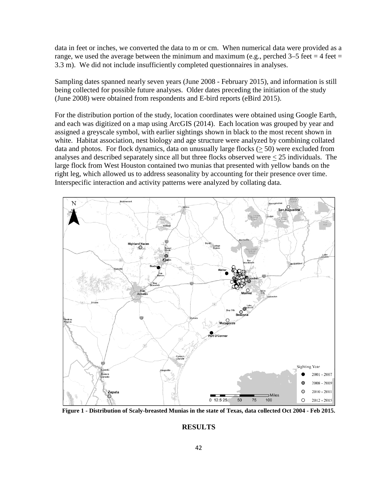data in feet or inches, we converted the data to m or cm. When numerical data were provided as a range, we used the average between the minimum and maximum (e.g., perched  $3-5$  feet = 4 feet = 3.3 m). We did not include insufficiently completed questionnaires in analyses.

Sampling dates spanned nearly seven years (June 2008 - February 2015), and information is still being collected for possible future analyses. Older dates preceding the initiation of the study (June 2008) were obtained from respondents and E-bird reports (eBird 2015).

For the distribution portion of the study, location coordinates were obtained using Google Earth, and each was digitized on a map using ArcGIS (2014). Each location was grouped by year and assigned a greyscale symbol, with earlier sightings shown in black to the most recent shown in white. Habitat association, nest biology and age structure were analyzed by combining collated data and photos. For flock dynamics, data on unusually large flocks (> 50) were excluded from analyses and described separately since all but three flocks observed were  $\leq 25$  individuals. The large flock from West Houston contained two munias that presented with yellow bands on the right leg, which allowed us to address seasonality by accounting for their presence over time. Interspecific interaction and activity patterns were analyzed by collating data.



**Figure 1 - Distribution of Scaly-breasted Munias in the state of Texas, data collected Oct 2004 - Feb 2015.** 

#### **RESULTS**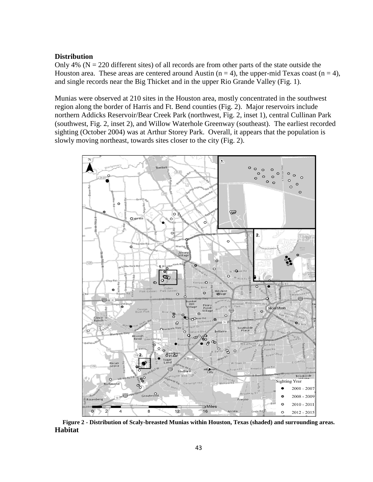#### **Distribution**

Only 4% ( $N = 220$  different sites) of all records are from other parts of the state outside the Houston area. These areas are centered around Austin ( $n = 4$ ), the upper-mid Texas coast ( $n = 4$ ), and single records near the Big Thicket and in the upper Rio Grande Valley (Fig. 1).

Munias were observed at 210 sites in the Houston area, mostly concentrated in the southwest region along the border of Harris and Ft. Bend counties (Fig. 2). Major reservoirs include northern Addicks Reservoir/Bear Creek Park (northwest, Fig. 2, inset 1), central Cullinan Park (southwest, Fig. 2, inset 2), and Willow Waterhole Greenway (southeast). The earliest recorded sighting (October 2004) was at Arthur Storey Park. Overall, it appears that the population is slowly moving northeast, towards sites closer to the city (Fig. 2).



**Figure 2 - Distribution of Scaly-breasted Munias within Houston, Texas (shaded) and surrounding areas. Habitat**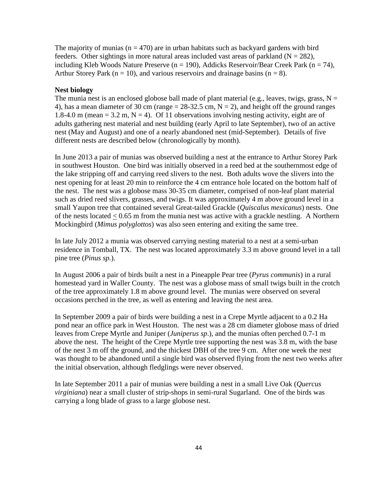The majority of munias ( $n = 470$ ) are in urban habitats such as backyard gardens with bird feeders. Other sightings in more natural areas included vast areas of parkland ( $N = 282$ ), including Kleb Woods Nature Preserve ( $n = 190$ ), Addicks Reservoir/Bear Creek Park ( $n = 74$ ), Arthur Storey Park ( $n = 10$ ), and various reservoirs and drainage basins ( $n = 8$ ).

#### **Nest biology**

The munia nest is an enclosed globose ball made of plant material (e.g., leaves, twigs, grass,  $N =$ 4), has a mean diameter of 30 cm (range  $= 28-32.5$  cm,  $N = 2$ ), and height off the ground ranges 1.8-4.0 m (mean = 3.2 m, N = 4). Of 11 observations involving nesting activity, eight are of adults gathering nest material and nest building (early April to late September), two of an active nest (May and August) and one of a nearly abandoned nest (mid-September). Details of five different nests are described below (chronologically by month).

In June 2013 a pair of munias was observed building a nest at the entrance to Arthur Storey Park in southwest Houston. One bird was initially observed in a reed bed at the southernmost edge of the lake stripping off and carrying reed slivers to the nest. Both adults wove the slivers into the nest opening for at least 20 min to reinforce the 4 cm entrance hole located on the bottom half of the nest. The nest was a globose mass 30-35 cm diameter, comprised of non-leaf plant material such as dried reed slivers, grasses, and twigs. It was approximately 4 m above ground level in a small Yaupon tree that contained several Great-tailed Grackle (*Quiscalus mexicanus*) nests. One of the nests located < 0.65 m from the munia nest was active with a grackle nestling. A Northern Mockingbird (*Mimus polyglottos*) was also seen entering and exiting the same tree.

In late July 2012 a munia was observed carrying nesting material to a nest at a semi-urban residence in Tomball, TX. The nest was located approximately 3.3 m above ground level in a tall pine tree (*Pinus sp.*).

In August 2006 a pair of birds built a nest in a Pineapple Pear tree (*Pyrus communis*) in a rural homestead yard in Waller County. The nest was a globose mass of small twigs built in the crotch of the tree approximately 1.8 m above ground level. The munias were observed on several occasions perched in the tree, as well as entering and leaving the nest area.

In September 2009 a pair of birds were building a nest in a Crepe Myrtle adjacent to a 0.2 Ha pond near an office park in West Houston. The nest was a 28 cm diameter globose mass of dried leaves from Crepe Myrtle and Juniper (*Juniperus sp*.), and the munias often perched 0.7-1 m above the nest. The height of the Crepe Myrtle tree supporting the nest was 3.8 m, with the base of the nest 3 m off the ground, and the thickest DBH of the tree 9 cm. After one week the nest was thought to be abandoned until a single bird was observed flying from the nest two weeks after the initial observation, although fledglings were never observed.

In late September 2011 a pair of munias were building a nest in a small Live Oak (*Quercus virginiana*) near a small cluster of strip-shops in semi-rural Sugarland. One of the birds was carrying a long blade of grass to a large globose nest.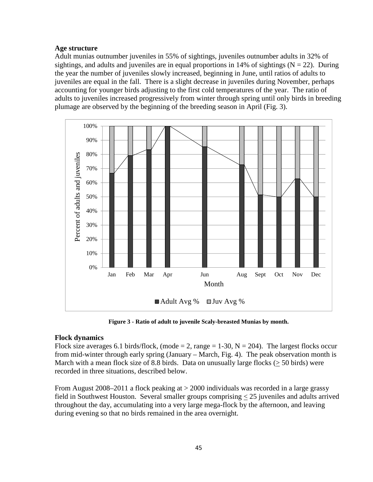#### **Age structure**

Adult munias outnumber juveniles in 55% of sightings, juveniles outnumber adults in 32% of sightings, and adults and juveniles are in equal proportions in 14% of sightings ( $N = 22$ ). During the year the number of juveniles slowly increased, beginning in June, until ratios of adults to juveniles are equal in the fall. There is a slight decrease in juveniles during November, perhaps accounting for younger birds adjusting to the first cold temperatures of the year. The ratio of adults to juveniles increased progressively from winter through spring until only birds in breeding plumage are observed by the beginning of the breeding season in April (Fig. 3).



**Figure 3 - Ratio of adult to juvenile Scaly-breasted Munias by month.** 

#### **Flock dynamics**

Flock size averages 6.1 birds/flock, (mode = 2, range = 1-30,  $N = 204$ ). The largest flocks occur from mid-winter through early spring (January – March, Fig. 4). The peak observation month is March with a mean flock size of 8.8 birds. Data on unusually large flocks (> 50 birds) were recorded in three situations, described below.

From August 2008–2011 a flock peaking at > 2000 individuals was recorded in a large grassy field in Southwest Houston. Several smaller groups comprising < 25 juveniles and adults arrived throughout the day, accumulating into a very large mega-flock by the afternoon, and leaving during evening so that no birds remained in the area overnight.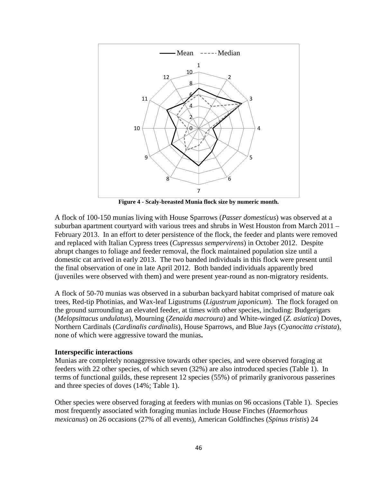

**Figure 4 - Scaly-breasted Munia flock size by numeric month.** 

A flock of 100-150 munias living with House Sparrows (*Passer domesticus*) was observed at a suburban apartment courtyard with various trees and shrubs in West Houston from March 2011 – February 2013. In an effort to deter persistence of the flock, the feeder and plants were removed and replaced with Italian Cypress trees (*Cupressus sempervirens*) in October 2012. Despite abrupt changes to foliage and feeder removal, the flock maintained population size until a domestic cat arrived in early 2013. The two banded individuals in this flock were present until the final observation of one in late April 2012. Both banded individuals apparently bred (juveniles were observed with them) and were present year-round as non-migratory residents.

A flock of 50-70 munias was observed in a suburban backyard habitat comprised of mature oak trees, Red-tip Photinias, and Wax-leaf Ligustrums (*Ligustrum japonicum*). The flock foraged on the ground surrounding an elevated feeder, at times with other species, including: Budgerigars (*Melopsittacus undulatus*), Mourning (*Zenaida macroura*) and White-winged (*Z. asiatica*) Doves, Northern Cardinals (*Cardinalis cardinalis*), House Sparrows, and Blue Jays (*Cyanocitta cristata*), none of which were aggressive toward the munias**.** 

#### **Interspecific interactions**

Munias are completely nonaggressive towards other species, and were observed foraging at feeders with 22 other species, of which seven (32%) are also introduced species (Table 1). In terms of functional guilds, these represent 12 species (55%) of primarily granivorous passerines and three species of doves (14%; Table 1).

Other species were observed foraging at feeders with munias on 96 occasions (Table 1). Species most frequently associated with foraging munias include House Finches (*Haemorhous mexicanus*) on 26 occasions (27% of all events), American Goldfinches (*Spinus tristis*) 24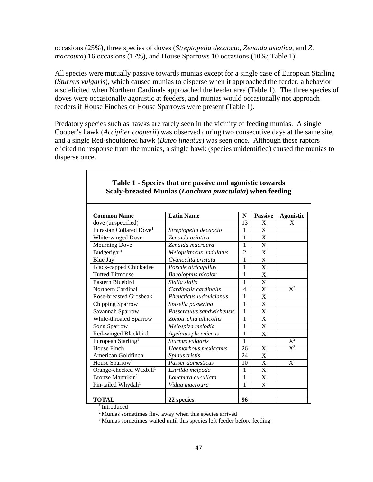occasions (25%), three species of doves (*Streptopelia decaocto*, *Zenaida asiatica*, and *Z. macroura*) 16 occasions (17%), and House Sparrows 10 occasions (10%; Table 1).

All species were mutually passive towards munias except for a single case of European Starling (*Sturnus vulgaris*), which caused munias to disperse when it approached the feeder, a behavior also elicited when Northern Cardinals approached the feeder area (Table 1). The three species of doves were occasionally agonistic at feeders, and munias would occasionally not approach feeders if House Finches or House Sparrows were present (Table 1).

Predatory species such as hawks are rarely seen in the vicinity of feeding munias. A single Cooper's hawk (*Accipiter cooperii*) was observed during two consecutive days at the same site, and a single Red-shouldered hawk (*Buteo lineatus*) was seen once. Although these raptors elicited no response from the munias, a single hawk (species unidentified) caused the munias to disperse once.

| <b>Common Name</b>                  | <b>Latin Name</b>         | N              | <b>Passive</b>        | <b>Agonistic</b>          |  |
|-------------------------------------|---------------------------|----------------|-----------------------|---------------------------|--|
| dove (unspecified)                  |                           | 13             | X                     | X                         |  |
| Eurasian Collared Dove <sup>1</sup> | Streptopelia decaocto     | 1              | X                     |                           |  |
| White-winged Dove                   | Zenaida asiatica          | $\mathbf{1}$   | X                     |                           |  |
| <b>Mourning Dove</b>                | Zenaida macroura          | 1              | X                     |                           |  |
| Budgerigar <sup>1</sup>             | Melopsittacus undulatus   | $\overline{2}$ | X                     |                           |  |
| <b>Blue Jay</b>                     | Cyanocitta cristata       | 1              | X                     |                           |  |
| <b>Black-capped Chickadee</b>       | Poecile atricapillus      | 1              | X                     |                           |  |
| <b>Tufted Titmouse</b>              | <b>Baeolophus bicolor</b> | 1              | X                     |                           |  |
| Eastern Bluebird                    | Sialia sialis             | 1              | X                     |                           |  |
| Northern Cardinal                   | Cardinalis cardinalis     | 4              | $\overline{\text{X}}$ | $X^2$                     |  |
| <b>Rose-breasted Grosbeak</b>       | Pheucticus ludovicianus   | 1              | X                     |                           |  |
| Chipping Sparrow                    | Spizella passerina        | 1              | X                     |                           |  |
| Savannah Sparrow                    | Passerculus sandwichensis | 1              | X                     |                           |  |
| White-throated Sparrow              | Zonotrichia albicollis    | 1              | X                     |                           |  |
| Song Sparrow                        | Melospiza melodia         | 1              | X                     |                           |  |
| Red-winged Blackbird                | Agelaius phoeniceus       | 1              | $\mathbf{X}$          |                           |  |
| European Starling <sup>1</sup>      | Sturnus vulgaris          | 1              |                       | $X^2$                     |  |
| <b>House Finch</b>                  | Haemorhous mexicanus      | 26             | X                     | $\overline{\mathrm{X}^3}$ |  |
| American Goldfinch                  | Spinus tristis            | 24             | X                     |                           |  |
| House Sparrow <sup>1</sup>          | Passer domesticus         | 10             | $\mathbf X$           | $X^3$                     |  |
| Orange-cheeked Waxbill <sup>1</sup> | Estrilda melpoda          | 1              | X                     |                           |  |
| Bronze Mannikin <sup>1</sup>        | Lonchura cucullata        | 1              | $\mathbf{X}$          |                           |  |
| Pin-tailed Whydah <sup>1</sup>      | Vidua macroura            | 1              | X                     |                           |  |
|                                     |                           |                |                       |                           |  |
| <b>TOTAL</b>                        | 22 species                | 96             |                       |                           |  |

#### **Table 1 - Species that are passive and agonistic towards Scaly-breasted Munias (***Lonchura punctulata***) when feeding**

 $1$ Introduced

<sup>2</sup>Munias sometimes flew away when this species arrived

<sup>3</sup> Munias sometimes waited until this species left feeder before feeding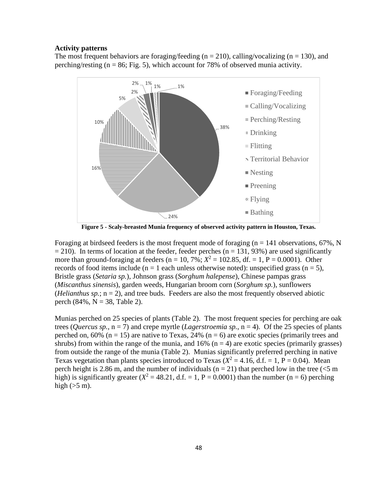#### **Activity patterns**

The most frequent behaviors are foraging/feeding ( $n = 210$ ), calling/vocalizing ( $n = 130$ ), and perching/resting ( $n = 86$ ; Fig. 5), which account for 78% of observed munia activity.



**Figure 5 - Scaly-breasted Munia frequency of observed activity pattern in Houston, Texas.** 

Foraging at birdseed feeders is the most frequent mode of foraging ( $n = 141$  observations, 67%, N  $= 210$ ). In terms of location at the feeder, feeder perches (n = 131, 93%) are used significantly more than ground-foraging at feeders ( $n = 10, 7\%$ ;  $X^2 = 102.85$ , df. = 1, P = 0.0001). Other records of food items include ( $n = 1$  each unless otherwise noted): unspecified grass ( $n = 5$ ), Bristle grass (*Setaria sp.*), Johnson grass (*Sorghum halepense*), Chinese pampas grass (*Miscanthus sinensis*), garden weeds, Hungarian broom corn (*Sorghum sp.*), sunflowers (*Helianthus sp.*;  $n = 2$ ), and tree buds. Feeders are also the most frequently observed abiotic perch  $(84\%, N = 38, Table 2)$ .

Munias perched on 25 species of plants (Table 2). The most frequent species for perching are oak trees (*Quercus sp.*,  $n = 7$ ) and crepe myrtle (*Lagerstroemia sp.*,  $n = 4$ ). Of the 25 species of plants perched on,  $60\%$  (n = 15) are native to Texas, 24% (n = 6) are exotic species (primarily trees and shrubs) from within the range of the munia, and  $16\%$  (n = 4) are exotic species (primarily grasses) from outside the range of the munia (Table 2). Munias significantly preferred perching in native Texas vegetation than plants species introduced to Texas ( $X^2 = 4.16$ , d.f. = 1, P = 0.04). Mean perch height is 2.86 m, and the number of individuals ( $n = 21$ ) that perched low in the tree ( $\leq 5$  m high) is significantly greater  $(X^2 = 48.21, d.f. = 1, P = 0.0001)$  than the number (n = 6) perching high  $(5 \text{ m})$ .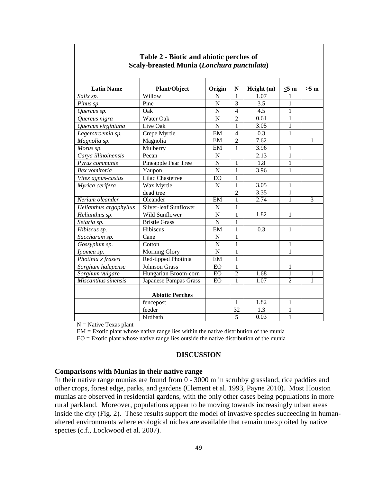| <b>Latin Name</b>      | <b>Plant/Object</b>    | Origin         | $\mathbb N$    | Height (m) | $<$ 5 m        | $>5$ m       |  |  |  |  |
|------------------------|------------------------|----------------|----------------|------------|----------------|--------------|--|--|--|--|
| Salix sp.              | Willow                 | N              | $\mathbf{1}$   | 1.07       | 1              |              |  |  |  |  |
| Pinus sp.              | Pine                   | N              | 3              | 3.5        | 1              |              |  |  |  |  |
| Quercus sp.            | Oak                    | $\overline{N}$ | $\overline{4}$ | 4.5        | $\mathbf{1}$   |              |  |  |  |  |
| Quercus nigra          | Water Oak              | $\overline{N}$ | $\overline{2}$ | 0.61       | 1              |              |  |  |  |  |
| Quercus virginiana     | Live Oak               | $\mathbf N$    | $\mathbf 1$    | 3.05       | 1              |              |  |  |  |  |
| Lagerstroemia sp.      | Crepe Myrtle           | EM             | $\overline{4}$ | 0.3        | 1              |              |  |  |  |  |
| Magnolia sp.           | Magnolia               | EM             | $\overline{2}$ | 7.62       |                | $\mathbf{1}$ |  |  |  |  |
| Morus sp.              | Mulberry               | EM             | $\mathbf{1}$   | 3.96       | $\mathbf{1}$   |              |  |  |  |  |
| Carya illinoinensis    | Pecan                  | N              |                | 2.13       | 1              |              |  |  |  |  |
| Pyrus communis         | Pineapple Pear Tree    | $\overline{N}$ | 1              | 1.8        | $\mathbf{1}$   |              |  |  |  |  |
| Ilex vomitoria         | Yaupon                 | $\mathbf N$    | 1              | 3.96       | 1              |              |  |  |  |  |
| Vitex agnus-castus     | Lilac Chastetree       | EO             | 1              |            |                |              |  |  |  |  |
| Myrica cerifera        | Wax Myrtle             | N              | 1              | 3.05       | $\mathbf{1}$   |              |  |  |  |  |
|                        | dead tree              |                | $\overline{2}$ | 3.35       | $\mathbf{1}$   |              |  |  |  |  |
| Nerium oleander        | Oleander               | EM             | $\mathbf{1}$   | 2.74       | 1              | 3            |  |  |  |  |
| Helianthus argophyllus | Silver-leaf Sunflower  | N              | 1              |            |                |              |  |  |  |  |
| Helianthus sp.         | Wild Sunflower         | N              | 1              | 1.82       | $\mathbf{1}$   |              |  |  |  |  |
| Setaria sp.            | <b>Bristle Grass</b>   | $\mathbf N$    | 1              |            |                |              |  |  |  |  |
| Hibiscus sp.           | Hibiscus               | EM             | 1              | 0.3        | 1              |              |  |  |  |  |
| Saccharum sp.          | Cane                   | N              | 1              |            |                |              |  |  |  |  |
| Gossypium sp.          | Cotton                 | $\overline{N}$ | 1              |            | $\mathbf{1}$   |              |  |  |  |  |
| Ipomea sp.             | <b>Morning Glory</b>   | $\overline{N}$ | 1              |            | 1              |              |  |  |  |  |
| Photinia x fraseri     | Red-tipped Photinia    | EM             | 1              |            |                |              |  |  |  |  |
| Sorghum halepense      | <b>Johnson Grass</b>   | EO             | $\mathbf 1$    |            | $\mathbf{1}$   |              |  |  |  |  |
| Sorghum vulgare        | Hungarian Broom-corn   | EO             | $\overline{2}$ | 1.68       | 1              | 1            |  |  |  |  |
| Miscanthus sinensis    | Japanese Pampas Grass  | EO             | $\mathbf{1}$   | 1.07       | $\overline{2}$ | 1            |  |  |  |  |
|                        | <b>Abiotic Perches</b> |                |                |            |                |              |  |  |  |  |
|                        | fencepost              |                | $\mathbf{1}$   | 1.82       | $\mathbf{1}$   |              |  |  |  |  |
|                        | feeder                 |                | 32             | 1.3        | 1              |              |  |  |  |  |
|                        | birdbath               |                | 5              | 0.03       | 1              |              |  |  |  |  |

#### **Table 2 - Biotic and abiotic perches of Scaly-breasted Munia (***Lonchura punctulata***)**

 $N =$  Native Texas plant

EM = Exotic plant whose native range lies within the native distribution of the munia  $EO = Exotic plant whose native range lies outside the native distribution of the muniab$ 

### **DISCUSSION**

#### **Comparisons with Munias in their native range**

In their native range munias are found from 0 - 3000 m in scrubby grassland, rice paddies and other crops, forest edge, parks, and gardens (Clement et al. 1993, Payne 2010). Most Houston munias are observed in residential gardens, with the only other cases being populations in more rural parkland. Moreover, populations appear to be moving towards increasingly urban areas inside the city (Fig. 2). These results support the model of invasive species succeeding in humanaltered environments where ecological niches are available that remain unexploited by native species (c.f., Lockwood et al. 2007).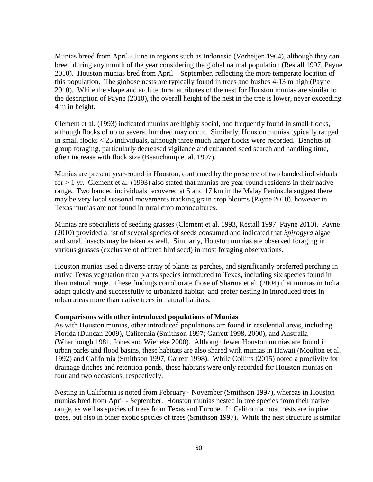Munias breed from April - June in regions such as Indonesia (Verheijen 1964), although they can breed during any month of the year considering the global natural population (Restall 1997, Payne 2010). Houston munias bred from April – September, reflecting the more temperate location of this population. The globose nests are typically found in trees and bushes 4-13 m high (Payne 2010). While the shape and architectural attributes of the nest for Houston munias are similar to the description of Payne (2010), the overall height of the nest in the tree is lower, never exceeding 4 m in height.

Clement et al. (1993) indicated munias are highly social, and frequently found in small flocks, although flocks of up to several hundred may occur. Similarly, Houston munias typically ranged in small flocks < 25 individuals, although three much larger flocks were recorded. Benefits of group foraging, particularly decreased vigilance and enhanced seed search and handling time, often increase with flock size (Beauchamp et al. 1997).

Munias are present year-round in Houston, confirmed by the presence of two banded individuals  $for > 1$  yr. Clement et al. (1993) also stated that munias are year-round residents in their native range. Two banded individuals recovered at 5 and 17 km in the Malay Peninsula suggest there may be very local seasonal movements tracking grain crop blooms (Payne 2010), however in Texas munias are not found in rural crop monocultures.

Munias are specialists of seeding grasses (Clement et al. 1993, Restall 1997, Payne 2010). Payne (2010) provided a list of several species of seeds consumed and indicated that *Spirogyra* algae and small insects may be taken as well. Similarly, Houston munias are observed foraging in various grasses (exclusive of offered bird seed) in most foraging observations.

Houston munias used a diverse array of plants as perches, and significantly preferred perching in native Texas vegetation than plants species introduced to Texas, including six species found in their natural range. These findings corroborate those of Sharma et al. (2004) that munias in India adapt quickly and successfully to urbanized habitat, and prefer nesting in introduced trees in urban areas more than native trees in natural habitats.

#### **Comparisons with other introduced populations of Munias**

As with Houston munias, other introduced populations are found in residential areas, including Florida (Duncan 2009), California (Smithson 1997; Garrett 1998, 2000), and Australia (Whatmough 1981, Jones and Wieneke 2000). Although fewer Houston munias are found in urban parks and flood basins, these habitats are also shared with munias in Hawaii (Moulton et al. 1992) and California (Smithson 1997, Garrett 1998). While Collins (2015) noted a proclivity for drainage ditches and retention ponds, these habitats were only recorded for Houston munias on four and two occasions, respectively.

Nesting in California is noted from February - November (Smithson 1997), whereas in Houston munias bred from April - September. Houston munias nested in tree species from their native range, as well as species of trees from Texas and Europe. In California most nests are in pine trees, but also in other exotic species of trees (Smithson 1997). While the nest structure is similar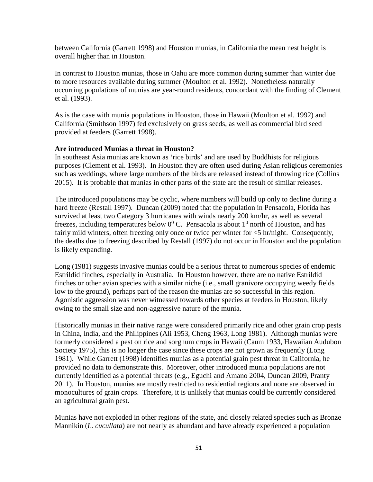between California (Garrett 1998) and Houston munias, in California the mean nest height is overall higher than in Houston.

In contrast to Houston munias, those in Oahu are more common during summer than winter due to more resources available during summer (Moulton et al. 1992). Nonetheless naturally occurring populations of munias are year-round residents, concordant with the finding of Clement et al. (1993).

As is the case with munia populations in Houston, those in Hawaii (Moulton et al. 1992) and California (Smithson 1997) fed exclusively on grass seeds, as well as commercial bird seed provided at feeders (Garrett 1998).

#### **Are introduced Munias a threat in Houston?**

In southeast Asia munias are known as 'rice birds' and are used by Buddhists for religious purposes (Clement et al. 1993). In Houston they are often used during Asian religious ceremonies such as weddings, where large numbers of the birds are released instead of throwing rice (Collins 2015). It is probable that munias in other parts of the state are the result of similar releases.

The introduced populations may be cyclic, where numbers will build up only to decline during a hard freeze (Restall 1997). Duncan (2009) noted that the population in Pensacola, Florida has survived at least two Category 3 hurricanes with winds nearly 200 km/hr, as well as several freezes, including temperatures below  $0^0$  C. Pensacola is about  $1^0$  north of Houston, and has fairly mild winters, often freezing only once or twice per winter for  $\leq 5$  hr/night. Consequently, the deaths due to freezing described by Restall (1997) do not occur in Houston and the population is likely expanding.

Long (1981) suggests invasive munias could be a serious threat to numerous species of endemic Estrildid finches, especially in Australia. In Houston however, there are no native Estrildid finches or other avian species with a similar niche (i.e., small granivore occupying weedy fields low to the ground), perhaps part of the reason the munias are so successful in this region. Agonistic aggression was never witnessed towards other species at feeders in Houston, likely owing to the small size and non-aggressive nature of the munia.

Historically munias in their native range were considered primarily rice and other grain crop pests in China, India, and the Philippines (Ali 1953, Cheng 1963, Long 1981). Although munias were formerly considered a pest on rice and sorghum crops in Hawaii (Caum 1933, Hawaiian Audubon Society 1975), this is no longer the case since these crops are not grown as frequently (Long 1981). While Garrett (1998) identifies munias as a potential grain pest threat in California, he provided no data to demonstrate this. Moreover, other introduced munia populations are not currently identified as a potential threats (e.g., Eguchi and Amano 2004, Duncan 2009, Pranty 2011). In Houston, munias are mostly restricted to residential regions and none are observed in monocultures of grain crops. Therefore, it is unlikely that munias could be currently considered an agricultural grain pest.

Munias have not exploded in other regions of the state, and closely related species such as Bronze Mannikin (*L. cucullata*) are not nearly as abundant and have already experienced a population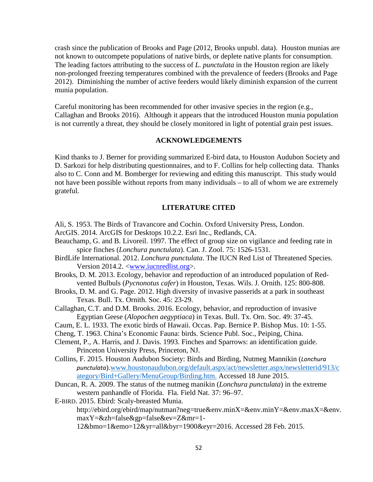crash since the publication of Brooks and Page (2012, Brooks unpubl. data). Houston munias are not known to outcompete populations of native birds, or deplete native plants for consumption. The leading factors attributing to the success of *L. punctulata* in the Houston region are likely non-prolonged freezing temperatures combined with the prevalence of feeders (Brooks and Page 2012). Diminishing the number of active feeders would likely diminish expansion of the current munia population.

Careful monitoring has been recommended for other invasive species in the region (e.g., Callaghan and Brooks 2016). Although it appears that the introduced Houston munia population is not currently a threat, they should be closely monitored in light of potential grain pest issues.

#### **ACKNOWLEDGEMENTS**

Kind thanks to J. Berner for providing summarized E-bird data, to Houston Audubon Society and D. Sarkozi for help distributing questionnaires, and to F. Collins for help collecting data. Thanks also to C. Conn and M. Bomberger for reviewing and editing this manuscript. This study would not have been possible without reports from many individuals – to all of whom we are extremely grateful.

#### **LITERATURE CITED**

- Ali, S. 1953. The Birds of Travancore and Cochin. Oxford University Press, London.
- ArcGIS. 2014. ArcGIS for Desktops 10.2.2. Esri Inc., Redlands, CA.
- Beauchamp, G. and B. Livoreil. 1997. The effect of group size on vigilance and feeding rate in spice finches (*Lonchura punctulata*). Can. J. Zool. 75: 1526-1531.
- BirdLife International. 2012. *Lonchura punctulata*. The IUCN Red List of Threatened Species. Version 2014.2. <www.iucnredlist.org>.
- Brooks, D. M. 2013. Ecology, behavior and reproduction of an introduced population of Redvented Bulbuls (*Pycnonotus cafer*) in Houston, Texas. Wils. J. Ornith. 125: 800-808.
- Brooks, D. M. and G. Page. 2012. High diversity of invasive passerids at a park in southeast Texas. Bull. Tx. Ornith. Soc. 45: 23-29.
- Callaghan, C.T. and D.M. Brooks. 2016. Ecology, behavior, and reproduction of invasive Egyptian Geese (*Alopochen aegyptiaca*) in Texas. Bull. Tx. Orn. Soc. 49: 37-45.
- Caum, E. L. 1933. The exotic birds of Hawaii. Occas. Pap. Bernice P. Bishop Mus. 10: 1-55.
- Cheng, T. 1963. China's Economic Fauna: birds. Science Publ. Soc., Peiping, China.
- Clement, P., A. Harris, and J. Davis. 1993. Finches and Sparrows: an identification guide. Princeton University Press, Princeton, NJ.
- Collins, F. 2015. Houston Audubon Society: Birds and Birding, Nutmeg Mannikin (*Lonchura punctulata*).www.houstonaudubon.org/default.aspx/act/newsletter.aspx/newsletterid/913/c ategory/Bird+Gallery/MenuGroup/Birding.htm. Accessed 18 June 2015.
- Duncan, R. A. 2009. The status of the nutmeg manikin (*Lonchura punctulata*) in the extreme western panhandle of Florida. Fla. Field Nat. 37: 96–97.
- E-BIRD. 2015. Ebird: Scaly-breasted Munia.

http://ebird.org/ebird/map/nutman?neg=true&env.minX=&env.minY=&env.maxX=&env. maxY=&zh=false&gp=false&ev=Z&mr=1-

12&bmo=1&emo=12&yr=all&byr=1900&eyr=2016. Accessed 28 Feb. 2015.